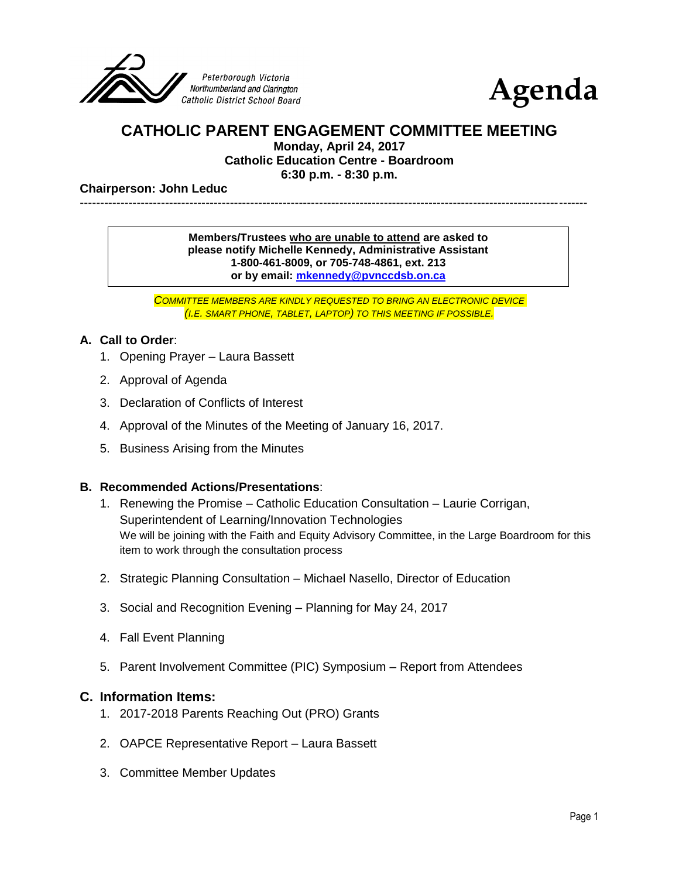



# **CATHOLIC PARENT ENGAGEMENT COMMITTEE MEETING**

**Monday, April 24, 2017 Catholic Education Centre - Boardroom**

**6:30 p.m. - 8:30 p.m.**

#### **Chairperson: John Leduc**

-----------------------------------------------------------------------------------------------------------------------------

#### **Members/Trustees who are unable to attend are asked to please notify Michelle Kennedy, Administrative Assistant 1-800-461-8009, or 705-748-4861, ext. 213 or by email: [mkennedy@pvnccdsb.on.ca](mailto:mkennedy@pvnccdsb.on.ca)**

*COMMITTEE MEMBERS ARE KINDLY REQUESTED TO BRING AN ELECTRONIC DEVICE (I.E. SMART PHONE, TABLET, LAPTOP) TO THIS MEETING IF POSSIBLE.*

### **A. Call to Order**:

- 1. Opening Prayer Laura Bassett
- 2. Approval of Agenda
- 3. Declaration of Conflicts of Interest
- 4. Approval of the Minutes of the Meeting of January 16, 2017.
- 5. Business Arising from the Minutes

## **B. Recommended Actions/Presentations**:

- 1. Renewing the Promise Catholic Education Consultation Laurie Corrigan, Superintendent of Learning/Innovation Technologies We will be joining with the Faith and Equity Advisory Committee, in the Large Boardroom for this item to work through the consultation process
- 2. Strategic Planning Consultation Michael Nasello, Director of Education
- 3. Social and Recognition Evening Planning for May 24, 2017
- 4. Fall Event Planning
- 5. Parent Involvement Committee (PIC) Symposium Report from Attendees

#### **C. Information Items:**

- 1. 2017-2018 Parents Reaching Out (PRO) Grants
- 2. OAPCE Representative Report Laura Bassett
- 3. Committee Member Updates